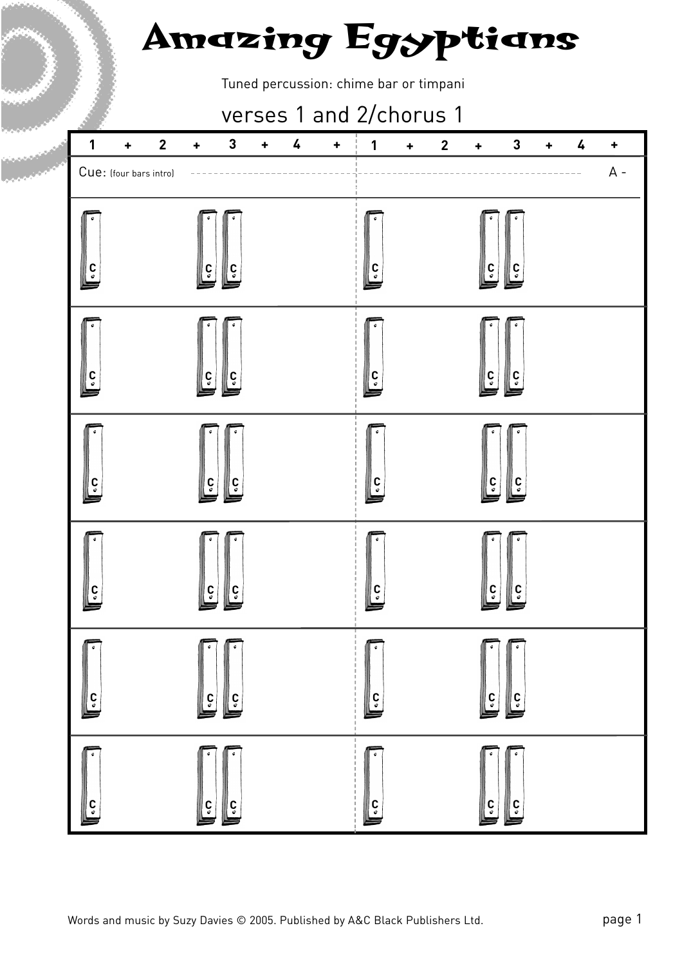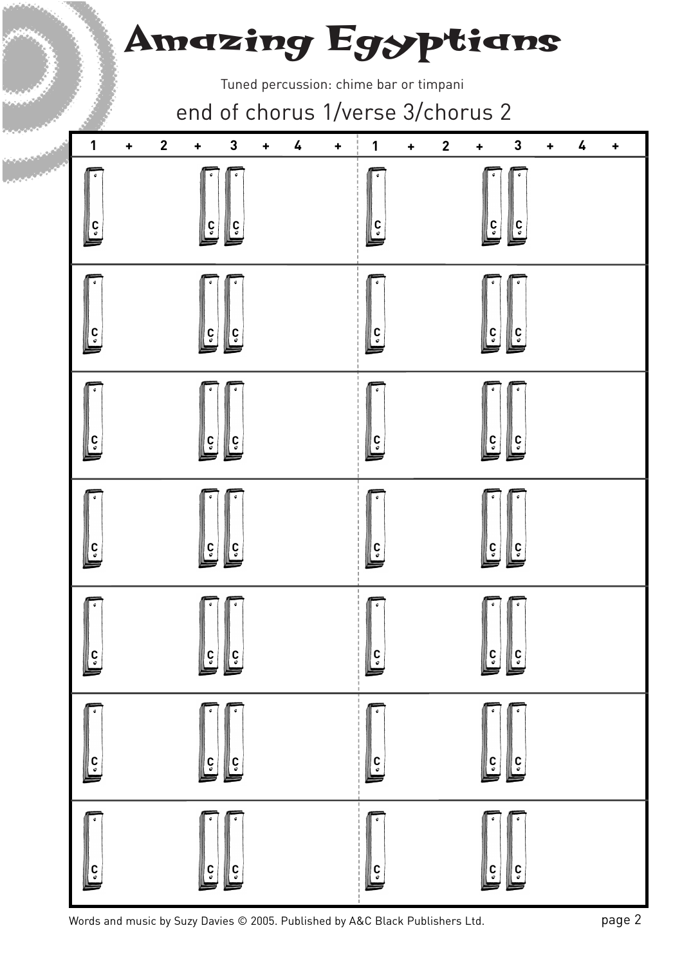Tuned percussion: chime bar or timpani

end of chorus 1/verse 3/chorus 2



Words and music by Suzy Davies © 2005. Published by A&C Black Publishers Ltd.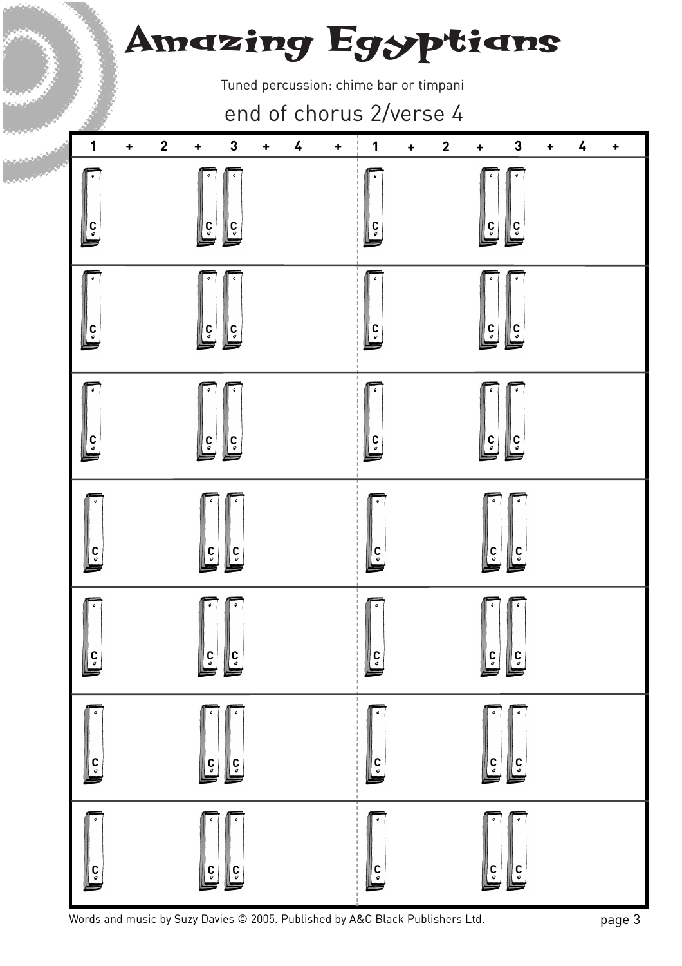Tuned percussion: chime bar or timpani

#### end of chorus 2/verse 4



Words and music by Suzy Davies © 2005. Published by A&C Black Publishers Ltd.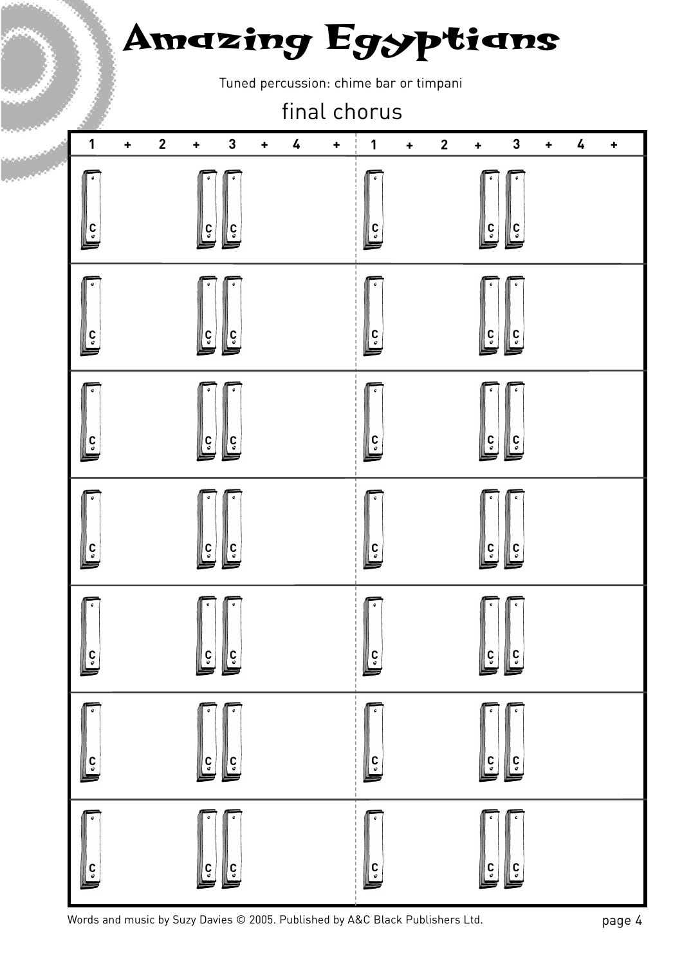Tuned percussion: chime bar or timpani

#### final chorus



Words and music by Suzy Davies © 2005. Published by A&C Black Publishers Ltd.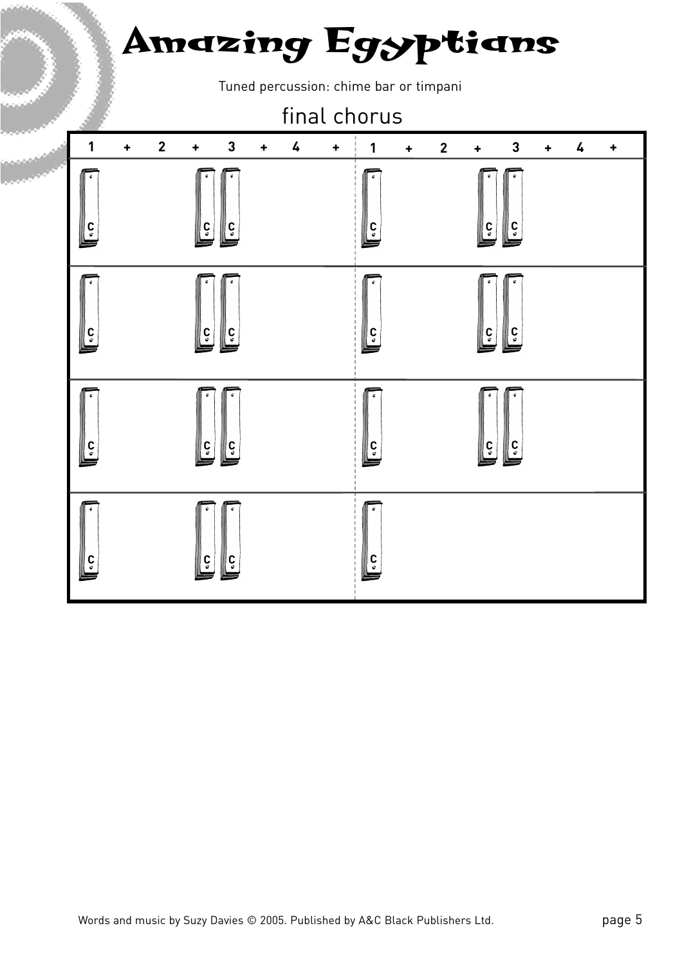Tuned percussion: chime bar or timpani

#### final chorus

![](_page_4_Figure_3.jpeg)